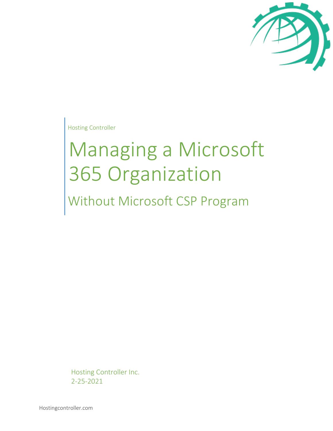

Hosting Controller

# Managing a Microsoft 365 Organization

Without Microsoft CSP Program

Hosting Controller Inc. 2-25-2021

Hostingcontroller.com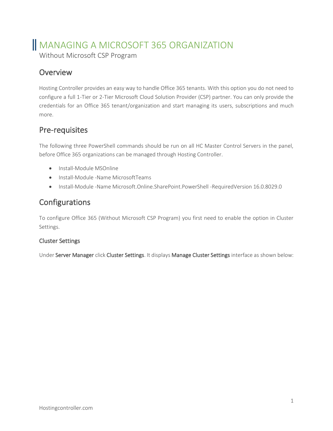# MANAGING A MICROSOFT 365 ORGANIZATION

Without Microsoft CSP Program

# **Overview**

Hosting Controller provides an easy way to handle Office 365 tenants. With this option you do not need to configure a full 1-Tier or 2-Tier Microsoft Cloud Solution Provider (CSP) partner. You can only provide the credentials for an Office 365 tenant/organization and start managing its users, subscriptions and much more.

# Pre-requisites

The following three PowerShell commands should be run on all HC Master Control Servers in the panel, before Office 365 organizations can be managed through Hosting Controller.

- Install-Module MSOnline
- Install-Module -Name MicrosoftTeams
- Install-Module -Name Microsoft.Online.SharePoint.PowerShell -RequiredVersion 16.0.8029.0

# Configurations

To configure Office 365 (Without Microsoft CSP Program) you first need to enable the option in Cluster Settings.

### Cluster Settings

Under Server Manager click Cluster Settings. It displays Manage Cluster Settings interface as shown below: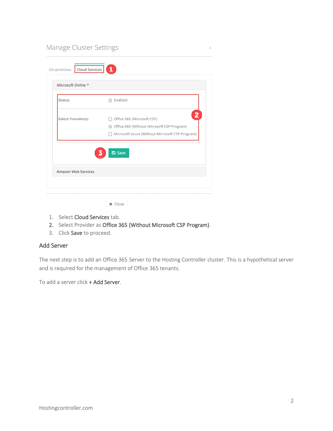| Cloud Services<br>On-premises | $\mathbf{1}$                                                                                                                                           |  |  |  |
|-------------------------------|--------------------------------------------------------------------------------------------------------------------------------------------------------|--|--|--|
| Microsoft Online *            |                                                                                                                                                        |  |  |  |
| Status                        | Enabled<br>$\mathcal{L}$                                                                                                                               |  |  |  |
| Select Provider(s)            | $\overline{\mathbf{c}}$<br>Office 365 (Microsoft CSP)<br>Office 365 (Without Microsoft CSP Program)<br>Microsoft Azure (Without Microsoft CSP Program) |  |  |  |
|                               | <b>图 Save</b>                                                                                                                                          |  |  |  |
| Amazon Web Services           |                                                                                                                                                        |  |  |  |

- 1. Select Cloud Services tab.
- 2. Select Provider as Office 365 (Without Microsoft CSP Program).
- 3. Click Save to proceed.

#### Add Server

The next step is to add an Office 365 Server to the Hosting Controller cluster. This is a hypothetical server and is required for the management of Office 365 tenants.

To add a server click + Add Server.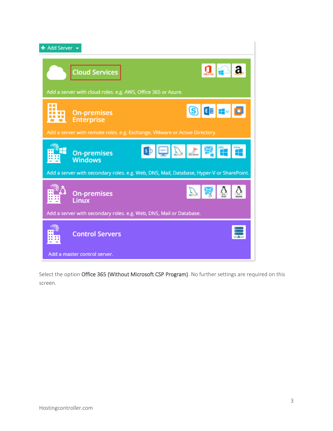

Select the option Office 365 (Without Microsoft CSP Program). No further settings are required on this screen.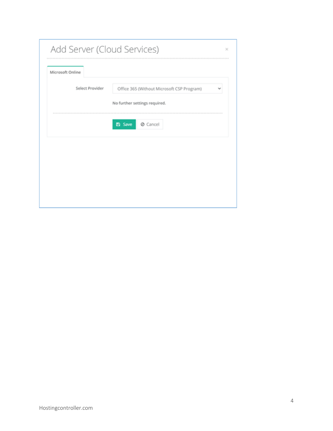| Microsoft Online |                                            |
|------------------|--------------------------------------------|
| Select Provider  | Office 365 (Without Microsoft CSP Program) |
|                  | No further settings required.              |
|                  | <b>⊘</b> Cancel<br>Ð<br>Save               |
|                  |                                            |
|                  |                                            |
|                  |                                            |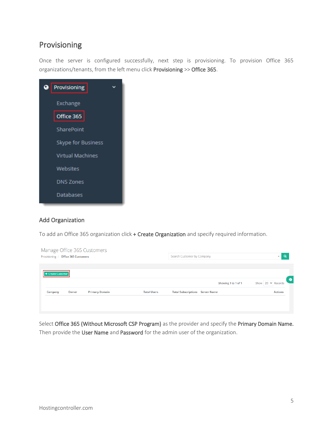# Provisioning

Once the server is configured successfully, next step is provisioning. To provision Office 365 organizations/tenants, from the left menu click Provisioning >> Office 365.

| ◕ | Provisioning            |  |
|---|-------------------------|--|
|   | Exchange                |  |
|   | Office 365              |  |
|   | <b>SharePoint</b>       |  |
|   | Skype for Business      |  |
|   | <b>Virtual Machines</b> |  |
|   | Websites                |  |
|   | <b>DNS Zones</b>        |  |
|   | <b>Databases</b>        |  |
|   |                         |  |

#### Add Organization

To add an Office 365 organization click + Create Organization and specify required information.

|                   | Manage Office 365 Customers<br>Search Customer by Company<br>Provisioning / Office 365 Customers |                       | $\overline{\phantom{a}}$ |                                        |                          |
|-------------------|--------------------------------------------------------------------------------------------------|-----------------------|--------------------------|----------------------------------------|--------------------------|
| + Create Customer |                                                                                                  |                       |                          |                                        |                          |
|                   |                                                                                                  |                       |                          | Showing 1 to 1 of 1                    | Show $20 \times$ Records |
| Company           | Owner                                                                                            | <b>Primary Domain</b> | <b>Total Users</b>       | <b>Total Subscriptions Server Name</b> | <b>Actions</b>           |

Select Office 365 (Without Microsoft CSP Program) as the provider and specify the Primary Domain Name. Then provide the User Name and Password for the admin user of the organization.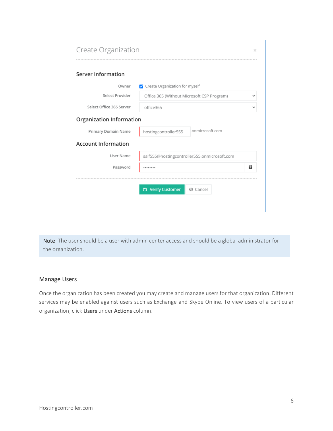| Server Information         |                                              |   |  |
|----------------------------|----------------------------------------------|---|--|
| Owner                      | Create Organization for myself               |   |  |
| Select Provider            | Office 365 (Without Microsoft CSP Program)   |   |  |
| Select Office 365 Server   | office365                                    |   |  |
| Organization Information   |                                              |   |  |
| Primary Domain Name        | .onmicrosoft.com<br>hostingcontroller555     |   |  |
| <b>Account Information</b> |                                              |   |  |
| User Name                  | saif555@hostingcontroller555.onmicrosoft.com |   |  |
| Password                   |                                              | 8 |  |
|                            |                                              |   |  |
|                            | <b>图 Verify Customer</b><br>⊘ Cancel         |   |  |

Note: The user should be a user with admin center access and should be a global administrator for the organization.

#### Manage Users

Once the organization has been created you may create and manage users for that organization. Different services may be enabled against users such as Exchange and Skype Online. To view users of a particular organization, click Users under Actions column.